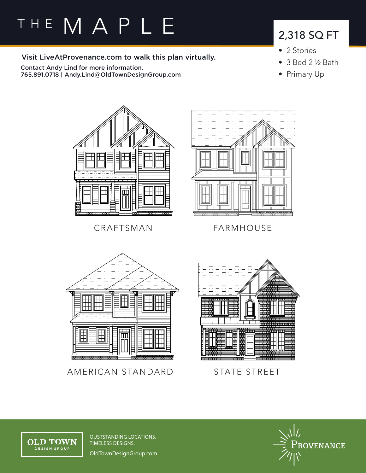# THE MAPLE

Visit LiveAtProvenance.com to walk this plan virtually.

Contact Andy Lind for more information. 765.891.0718 | Andy.Lind@OldTownDesignGroup.com

### 2,318 SQ FT

- 2 Stories
- 3 Bed 2 ½ Bath
- Primary Up



CRAFTSMAN FARMHOUSE





AMERICAN STANDARD



STATE STREET



OUSTSTANDING LOCATIONS. TIMELESS DESIGNS.

OldTownDesignGroup.com